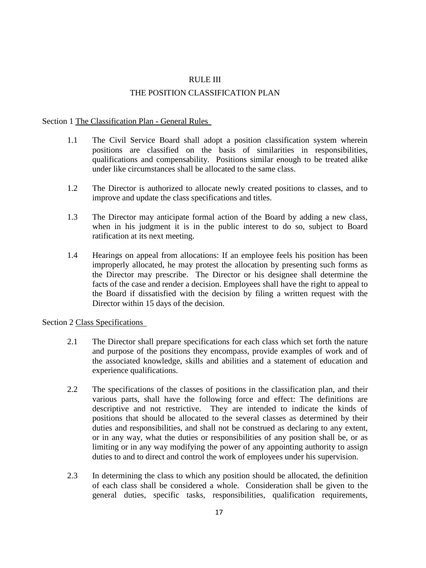## RULE III THE POSITION CLASSIFICATION PLAN

## Section 1 The Classification Plan - General Rules

- 1.1 The Civil Service Board shall adopt a position classification system wherein positions are classified on the basis of similarities in responsibilities, qualifications and compensability. Positions similar enough to be treated alike under like circumstances shall be allocated to the same class.
- 1.2 The Director is authorized to allocate newly created positions to classes, and to improve and update the class specifications and titles.
- 1.3 The Director may anticipate formal action of the Board by adding a new class, when in his judgment it is in the public interest to do so, subject to Board ratification at its next meeting.
- 1.4 Hearings on appeal from allocations: If an employee feels his position has been improperly allocated, he may protest the allocation by presenting such forms as the Director may prescribe. The Director or his designee shall determine the facts of the case and render a decision. Employees shall have the right to appeal to the Board if dissatisfied with the decision by filing a written request with the Director within 15 days of the decision.

## Section 2 Class Specifications

- 2.1 The Director shall prepare specifications for each class which set forth the nature and purpose of the positions they encompass, provide examples of work and of the associated knowledge, skills and abilities and a statement of education and experience qualifications.
- 2.2 The specifications of the classes of positions in the classification plan, and their various parts, shall have the following force and effect: The definitions are descriptive and not restrictive. They are intended to indicate the kinds of positions that should be allocated to the several classes as determined by their duties and responsibilities, and shall not be construed as declaring to any extent, or in any way, what the duties or responsibilities of any position shall be, or as limiting or in any way modifying the power of any appointing authority to assign duties to and to direct and control the work of employees under his supervision.
- 2.3 In determining the class to which any position should be allocated, the definition of each class shall be considered a whole. Consideration shall be given to the general duties, specific tasks, responsibilities, qualification requirements,